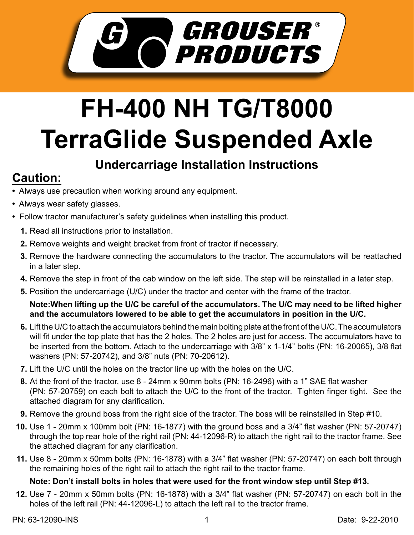

# **FH-400 NH TG/T8000 TerraGlide Suspended Axle**

### **Undercarriage Installation Instructions**

## **Caution:**

- Always use precaution when working around any equipment.
- Always wear safety glasses.
- Follow tractor manufacturer's safety guidelines when installing this product.
	- **1.** Read all instructions prior to installation.
	- 2. Remove weights and weight bracket from front of tractor if necessary.
	- **3.** Remove the hardware connecting the accumulators to the tractor. The accumulators will be reattached in a later step.
	- **4.** Remove the step in front of the cab window on the left side. The step will be reinstalled in a later step.
	- **5.** Position the undercarriage (U/C) under the tractor and center with the frame of the tractor.

#### **Note:When lifting up the U/C be careful of the accumulators. The U/C may need to be lifted higher and the accumulators lowered to be able to get the accumulators in position in the U/C.**

- Lift the U/C to attach the accumulators behind the main bolting plate at the front of the U/C. The accumulators **6.** will fit under the top plate that has the 2 holes. The 2 holes are just for access. The accumulators have to be inserted from the bottom. Attach to the undercarriage with 3/8" x 1-1/4" bolts (PN: 16-20065), 3/8 flat washers (PN: 57-20742), and 3/8" nuts (PN: 70-20612).
- **7.** Lift the U/C until the holes on the tractor line up with the holes on the U/C.
- At the front of the tractor, use 8 24mm x 90mm bolts (PN: 16-2496) with a 1" SAE flat washer **8.** (PN: 57-20759) on each bolt to attach the U/C to the front of the tractor. Tighten finger tight. See the attached diagram for any clarification.
- **9.** Remove the ground boss from the right side of the tractor. The boss will be reinstalled in Step #10.
- **10.** Use 1 20mm x 100mm bolt (PN: 16-1877) with the ground boss and a 3/4" flat washer (PN: 57-20747) through the top rear hole of the right rail (PN: 44-12096-R) to attach the right rail to the tractor frame. See the attached diagram for any clarification.
- Use 8 20mm x 50mm bolts (PN: 16-1878) with a 3/4" flat washer (PN: 57-20747) on each bolt through **11.** the remaining holes of the right rail to attach the right rail to the tractor frame.

#### **Note: Don't install bolts in holes that were used for the front window step until Step #13.**

Use 7 - 20mm x 50mm bolts (PN: 16-1878) with a 3/4" flat washer (PN: 57-20747) on each bolt in the **12.** holes of the left rail (PN: 44-12096-L) to attach the left rail to the tractor frame.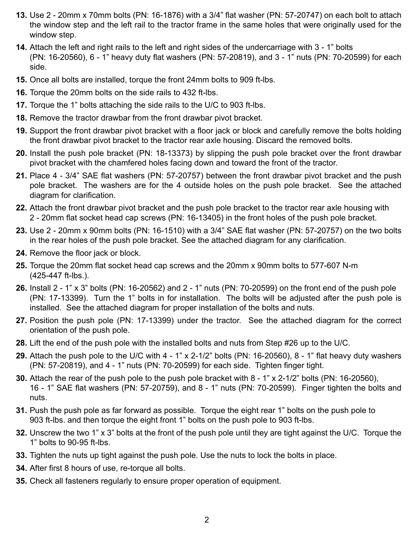- Use 2 20mm x 70mm bolts (PN: 16-1876) with a 3/4" flat washer (PN: 57-20747) on each bolt to attach **13.** the window step and the left rail to the tractor frame in the same holes that were originally used for the window step.
- **14.** Attach the left and right rails to the left and right sides of the undercarriage with 3 1" bolts (PN: 16-20560), 6 - 1" heavy duty flat washers (PN: 57-20819), and 3 - 1" nuts (PN: 70-20599) for each side.
- **15.** Once all bolts are installed, torque the front 24mm bolts to 909 ft-lbs.
- **16.** Torque the 20mm bolts on the side rails to 432 ft-lbs.
- **17.** Torque the 1" bolts attaching the side rails to the U/C to 903 ft-lbs.
- **18.** Remove the tractor drawbar from the front drawbar pivot bracket.
- **19.** Support the front drawbar pivot bracket with a floor jack or block and carefully remove the bolts holding the front drawbar pivot bracket to the tractor rear axle housing. Discard the removed bolts.
- 20. Install the push pole bracket (PN: 18-13373) by slipping the push pole bracket over the front drawbar pivot bracket with the chamfered holes facing down and toward the front of the tractor.
- Place 4 3/4" SAE flat washers (PN: 57-20757) between the front drawbar pivot bracket and the push **21.** pole bracket. The washers are for the 4 outside holes on the push pole bracket. See the attached diagram for clarification.
- Attach the front drawbar pivot bracket and the push pole bracket to the tractor rear axle housing with **22.** 2 - 20mm flat socket head cap screws (PN: 16-13405) in the front holes of the push pole bracket.
- Use 2 20mm x 90mm bolts (PN: 16-1510) with a 3/4" SAE flat washer (PN: 57-20757) on the two bolts **23.** in the rear holes of the push pole bracket. See the attached diagram for any clarification.
- **24.** Remove the floor jack or block.
- **25.** Torque the 20mm flat socket head cap screws and the 20mm x 90mm bolts to 577-607 N-m (425-447 ft-lbs.).
- Install 2 1" x 3" bolts (PN: 16-20562) and 2 1" nuts (PN: 70-20599) on the front end of the push pole **26.** (PN: 17-13399). Turn the 1" bolts in for installation. The bolts will be adjusted after the push pole is installed. See the attached diagram for proper installation of the bolts and nuts.
- 27. Position the push pole (PN: 17-13399) under the tractor. See the attached diagram for the correct orientation of the push pole.
- Lift the end of the push pole with the installed bolts and nuts from Step #26 up to the U/C. **28.**
- Attach the push pole to the U/C with 4 1" x 2-1/2" bolts (PN: 16-20560), 8 1" flat heavy duty washers **29.** (PN: 57-20819), and 4 - 1" nuts (PN: 70-20599) for each side. Tighten finger tight.
- **30.** Attach the rear of the push pole to the push pole bracket with 8 1" x 2-1/2" bolts (PN: 16-20560), 16 - 1" SAE flat washers (PN: 57-20759), and 8 - 1" nuts (PN: 70-20599). Finger tighten the bolts and nuts.
- **31.** Push the push pole as far forward as possible. Torque the eight rear 1" bolts on the push pole to 903 ft-lbs. and then torque the eight front 1" bolts on the push pole to 903 ft-lbs.
- Unscrew the two 1" x 3" bolts at the front of the push pole until they are tight against the U/C. Torque the **32.** 1" bolts to 90-95 ft-lbs.
- **33.** Tighten the nuts up tight against the push pole. Use the nuts to lock the bolts in place.
- **34.** After first 8 hours of use, re-torque all bolts.
- **35.** Check all fasteners regularly to ensure proper operation of equipment.